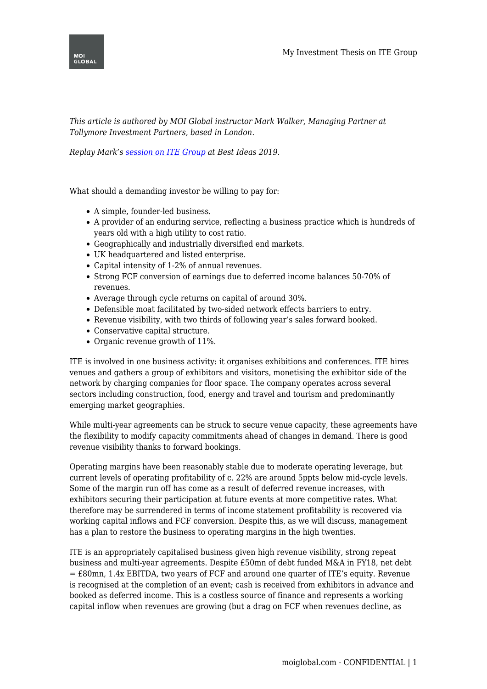

*This article is authored by MOI Global instructor Mark Walker, Managing Partner at Tollymore Investment Partners, based in London.*

*Replay Mark's [session on ITE Group](https://moiglobal.com/mark-walker-201901/) at Best Ideas 2019.*

What should a demanding investor be willing to pay for:

- A simple, founder-led business.
- A provider of an enduring service, reflecting a business practice which is hundreds of years old with a high utility to cost ratio.
- Geographically and industrially diversified end markets.
- UK headquartered and listed enterprise.
- Capital intensity of 1-2% of annual revenues.
- Strong FCF conversion of earnings due to deferred income balances 50-70% of revenues.
- Average through cycle returns on capital of around 30%.
- Defensible moat facilitated by two-sided network effects barriers to entry.
- Revenue visibility, with two thirds of following year's sales forward booked.
- Conservative capital structure.
- Organic revenue growth of 11%.

ITE is involved in one business activity: it organises exhibitions and conferences. ITE hires venues and gathers a group of exhibitors and visitors, monetising the exhibitor side of the network by charging companies for floor space. The company operates across several sectors including construction, food, energy and travel and tourism and predominantly emerging market geographies.

While multi-year agreements can be struck to secure venue capacity, these agreements have the flexibility to modify capacity commitments ahead of changes in demand. There is good revenue visibility thanks to forward bookings.

Operating margins have been reasonably stable due to moderate operating leverage, but current levels of operating profitability of c. 22% are around 5ppts below mid-cycle levels. Some of the margin run off has come as a result of deferred revenue increases, with exhibitors securing their participation at future events at more competitive rates. What therefore may be surrendered in terms of income statement profitability is recovered via working capital inflows and FCF conversion. Despite this, as we will discuss, management has a plan to restore the business to operating margins in the high twenties.

ITE is an appropriately capitalised business given high revenue visibility, strong repeat business and multi-year agreements. Despite £50mn of debt funded M&A in FY18, net debt = £80mn, 1.4x EBITDA, two years of FCF and around one quarter of ITE's equity. Revenue is recognised at the completion of an event; cash is received from exhibitors in advance and booked as deferred income. This is a costless source of finance and represents a working capital inflow when revenues are growing (but a drag on FCF when revenues decline, as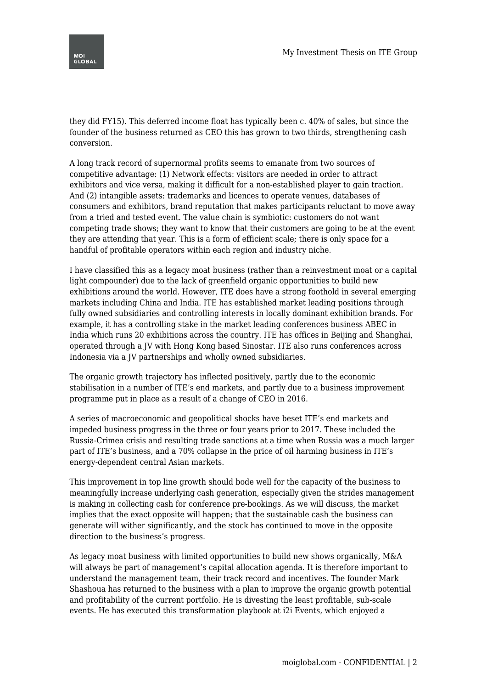they did FY15). This deferred income float has typically been c. 40% of sales, but since the founder of the business returned as CEO this has grown to two thirds, strengthening cash conversion.

A long track record of supernormal profits seems to emanate from two sources of competitive advantage: (1) Network effects: visitors are needed in order to attract exhibitors and vice versa, making it difficult for a non-established player to gain traction. And (2) intangible assets: trademarks and licences to operate venues, databases of consumers and exhibitors, brand reputation that makes participants reluctant to move away from a tried and tested event. The value chain is symbiotic: customers do not want competing trade shows; they want to know that their customers are going to be at the event they are attending that year. This is a form of efficient scale; there is only space for a handful of profitable operators within each region and industry niche.

I have classified this as a legacy moat business (rather than a reinvestment moat or a capital light compounder) due to the lack of greenfield organic opportunities to build new exhibitions around the world. However, ITE does have a strong foothold in several emerging markets including China and India. ITE has established market leading positions through fully owned subsidiaries and controlling interests in locally dominant exhibition brands. For example, it has a controlling stake in the market leading conferences business ABEC in India which runs 20 exhibitions across the country. ITE has offices in Beijing and Shanghai, operated through a JV with Hong Kong based Sinostar. ITE also runs conferences across Indonesia via a JV partnerships and wholly owned subsidiaries.

The organic growth trajectory has inflected positively, partly due to the economic stabilisation in a number of ITE's end markets, and partly due to a business improvement programme put in place as a result of a change of CEO in 2016.

A series of macroeconomic and geopolitical shocks have beset ITE's end markets and impeded business progress in the three or four years prior to 2017. These included the Russia-Crimea crisis and resulting trade sanctions at a time when Russia was a much larger part of ITE's business, and a 70% collapse in the price of oil harming business in ITE's energy-dependent central Asian markets.

This improvement in top line growth should bode well for the capacity of the business to meaningfully increase underlying cash generation, especially given the strides management is making in collecting cash for conference pre-bookings. As we will discuss, the market implies that the exact opposite will happen; that the sustainable cash the business can generate will wither significantly, and the stock has continued to move in the opposite direction to the business's progress.

As legacy moat business with limited opportunities to build new shows organically, M&A will always be part of management's capital allocation agenda. It is therefore important to understand the management team, their track record and incentives. The founder Mark Shashoua has returned to the business with a plan to improve the organic growth potential and profitability of the current portfolio. He is divesting the least profitable, sub-scale events. He has executed this transformation playbook at i2i Events, which enjoyed a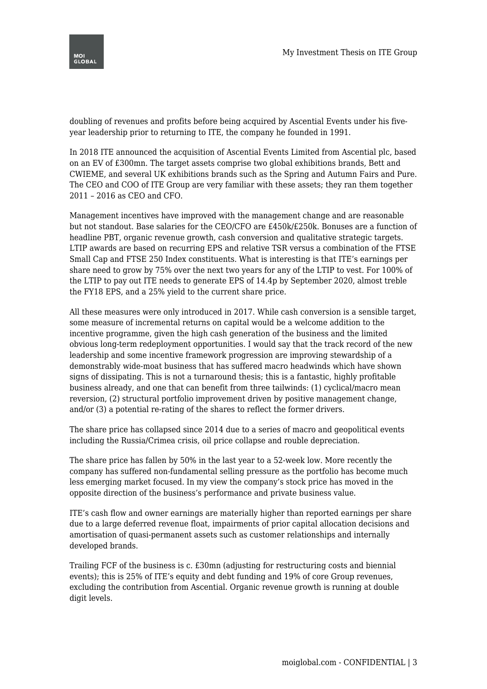

doubling of revenues and profits before being acquired by Ascential Events under his fiveyear leadership prior to returning to ITE, the company he founded in 1991.

In 2018 ITE announced the acquisition of Ascential Events Limited from Ascential plc, based on an EV of £300mn. The target assets comprise two global exhibitions brands, Bett and CWIEME, and several UK exhibitions brands such as the Spring and Autumn Fairs and Pure. The CEO and COO of ITE Group are very familiar with these assets; they ran them together 2011 – 2016 as CEO and CFO.

Management incentives have improved with the management change and are reasonable but not standout. Base salaries for the CEO/CFO are £450k/£250k. Bonuses are a function of headline PBT, organic revenue growth, cash conversion and qualitative strategic targets. LTIP awards are based on recurring EPS and relative TSR versus a combination of the FTSE Small Cap and FTSE 250 Index constituents. What is interesting is that ITE's earnings per share need to grow by 75% over the next two years for any of the LTIP to vest. For 100% of the LTIP to pay out ITE needs to generate EPS of 14.4p by September 2020, almost treble the FY18 EPS, and a 25% yield to the current share price.

All these measures were only introduced in 2017. While cash conversion is a sensible target, some measure of incremental returns on capital would be a welcome addition to the incentive programme, given the high cash generation of the business and the limited obvious long-term redeployment opportunities. I would say that the track record of the new leadership and some incentive framework progression are improving stewardship of a demonstrably wide-moat business that has suffered macro headwinds which have shown signs of dissipating. This is not a turnaround thesis; this is a fantastic, highly profitable business already, and one that can benefit from three tailwinds: (1) cyclical/macro mean reversion, (2) structural portfolio improvement driven by positive management change, and/or (3) a potential re-rating of the shares to reflect the former drivers.

The share price has collapsed since 2014 due to a series of macro and geopolitical events including the Russia/Crimea crisis, oil price collapse and rouble depreciation.

The share price has fallen by 50% in the last year to a 52-week low. More recently the company has suffered non-fundamental selling pressure as the portfolio has become much less emerging market focused. In my view the company's stock price has moved in the opposite direction of the business's performance and private business value.

ITE's cash flow and owner earnings are materially higher than reported earnings per share due to a large deferred revenue float, impairments of prior capital allocation decisions and amortisation of quasi-permanent assets such as customer relationships and internally developed brands.

Trailing FCF of the business is c. £30mn (adjusting for restructuring costs and biennial events); this is 25% of ITE's equity and debt funding and 19% of core Group revenues, excluding the contribution from Ascential. Organic revenue growth is running at double digit levels.